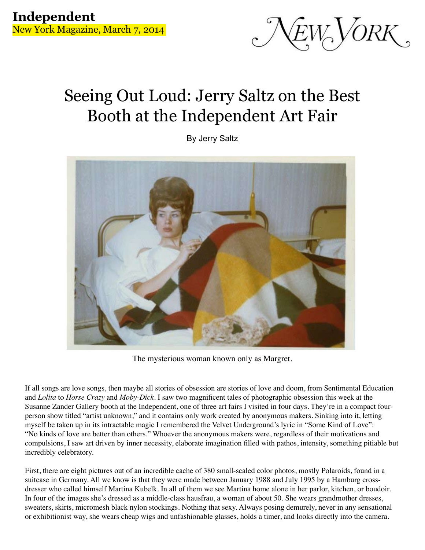

## Seeing Out Loud: Jerry Saltz on the Best Booth at the Independent Art Fair

By Jerry Saltz



The mysterious woman known only as Margret.

If all songs are love songs, then maybe all stories of obsession are stories of love and doom, from Sentimental Education and *Lolita* to *Horse Crazy* and *Moby-Dick*. I saw two magnificent tales of photographic obsession this week at the Susanne Zander Gallery booth at the Independent, one of three art fairs I visited in four days. They're in a compact fourperson show titled "artist unknown," and it contains only work created by anonymous makers. Sinking into it, letting myself be taken up in its intractable magic I remembered the Velvet Underground's lyric in "Some Kind of Love": "No kinds of love are better than others." Whoever the anonymous makers were, regardless of their motivations and compulsions, I saw art driven by inner necessity, elaborate imagination filled with pathos, intensity, something pitiable but incredibly celebratory.

First, there are eight pictures out of an incredible cache of 380 small-scaled color photos, mostly Polaroids, found in a suitcase in Germany. All we know is that they were made between January 1988 and July 1995 by a Hamburg crossdresser who called himself Martina Kubelk. In all of them we see Martina home alone in her parlor, kitchen, or boudoir. In four of the images she's dressed as a middle-class hausfrau, a woman of about 50. She wears grandmother dresses, sweaters, skirts, micromesh black nylon stockings. Nothing that sexy. Always posing demurely, never in any sensational or exhibitionist way, she wears cheap wigs and unfashionable glasses, holds a timer, and looks directly into the camera.